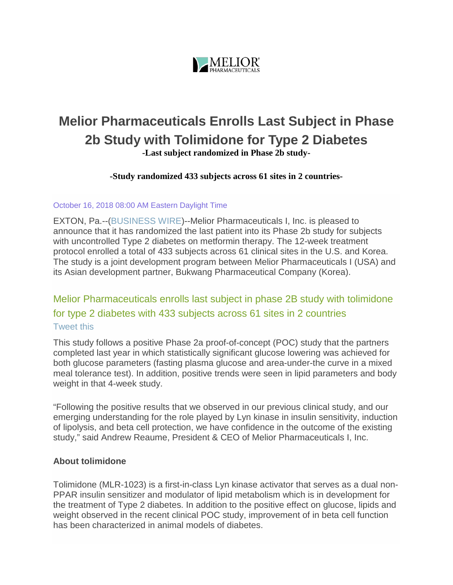

# **Melior Pharmaceuticals Enrolls Last Subject in Phase 2b Study with Tolimidone for Type 2 Diabetes -Last subject randomized in Phase 2b study-**

**-Study randomized 433 subjects across 61 sites in 2 countries-**

#### October 16, 2018 08:00 AM Eastern Daylight Time

EXTON, Pa.--[\(BUSINESS WIRE\)](https://www.businesswire.com/)--Melior Pharmaceuticals I, Inc. is pleased to announce that it has randomized the last patient into its Phase 2b study for subjects with uncontrolled Type 2 diabetes on metformin therapy. The 12-week treatment protocol enrolled a total of 433 subjects across 61 clinical sites in the U.S. and Korea. The study is a joint development program between Melior Pharmaceuticals I (USA) and its Asian development partner, Bukwang Pharmaceutical Company (Korea).

# Melior Pharmaceuticals enrolls last subject in phase 2B study with tolimidone for type 2 diabetes with 433 subjects across 61 sites in 2 countries [Tweet](https://www.businesswire.com/news/home/20181016005177/en/Melior-Pharmaceuticals-Enrolls-Subject-Phase-2b-Study) this

This study follows a positive Phase 2a proof-of-concept (POC) study that the partners completed last year in which statistically significant glucose lowering was achieved for both glucose parameters (fasting plasma glucose and area-under-the curve in a mixed meal tolerance test). In addition, positive trends were seen in lipid parameters and body weight in that 4-week study.

"Following the positive results that we observed in our previous clinical study, and our emerging understanding for the role played by Lyn kinase in insulin sensitivity, induction of lipolysis, and beta cell protection, we have confidence in the outcome of the existing study," said Andrew Reaume, President & CEO of Melior Pharmaceuticals I, Inc.

#### **About tolimidone**

Tolimidone (MLR-1023) is a first-in-class Lyn kinase activator that serves as a dual non-PPAR insulin sensitizer and modulator of lipid metabolism which is in development for the treatment of Type 2 diabetes. In addition to the positive effect on glucose, lipids and weight observed in the recent clinical POC study, improvement of in beta cell function has been characterized in animal models of diabetes.